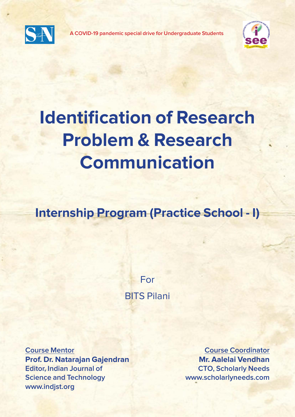

**A COVID-19 pandemic special drive for Undergraduate Students**



# **Identification of Research Problem & Research Communication**

**Internship Program (Practice School - I)**

For BITS Pilani

**Course Mentor Prof. Dr. Natarajan Gajendran Editor, Indian Journal of Science and Technology www.indjst.org**

**Course Coordinator Mr. Aalelai Vendhan CTO, Scholarly Needs www.scholarlyneeds.com**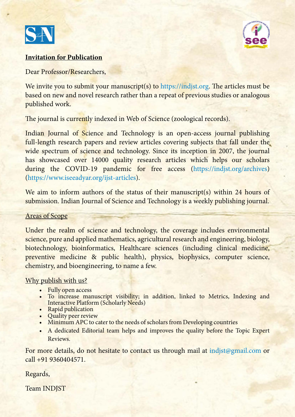



#### **Invitation for Publication**

Dear Professor/Researchers,

We invite you to submit your manuscript(s) to https://indjst.org. The articles must be based on new and novel research rather than a repeat of previous studies or analogous published work.

The journal is currently indexed in Web of Science (zoological records).

Indian Journal of Science and Technology is an open-access journal publishing full-length research papers and review articles covering subjects that fall under the wide spectrum of science and technology. Since its inception in 2007, the journal has showcased over 14000 quality research articles which helps our scholars during the COVID-19 pandemic for free access (https://indjst.org/archives) (https://www.iseeadyar.org/ijst-articles).

We aim to inform authors of the status of their manuscript(s) within 24 hours of submission. Indian Journal of Science and Technology is a weekly publishing journal.

#### Areas of Scope

Under the realm of science and technology, the coverage includes environmental science, pure and applied mathematics, agricultural research and engineering, biology, biotechnology, bioinformatics, Healthcare sciences (including clinical medicine, preventive medicine & public health), physics, biophysics, computer science, chemistry, and bioengineering, to name a few.

#### Why publish with us?

- Fully open access
- To increase manuscript visibility; in addition, linked to Metrics, Indexing and Interactive Platform (Scholarly Needs)
- Rapid publication
- Quality peer review
- Minimum APC to cater to the needs of scholars from Developing countries
- A dedicated Editorial team helps and improves the quality before the Topic Expert Reviews.

For more details, do not hesitate to contact us through mail at indjst@gmail.com or call +91 9360404571.

Regards,

Team INDJST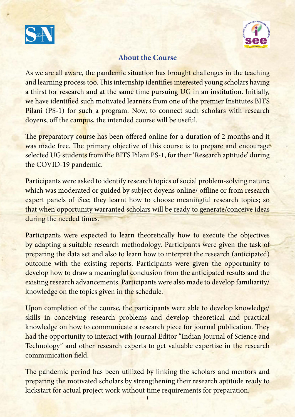



#### **About the Course**

As we are all aware, the pandemic situation has brought challenges in the teaching and learning process too. This internship identifies interested young scholars having a thirst for research and at the same time pursuing UG in an institution. Initially, we have identified such motivated learners from one of the premier Institutes BITS Pilani (PS-1) for such a program. Now, to connect such scholars with research doyens, off the campus, the intended course will be useful.

The preparatory course has been offered online for a duration of 2 months and it was made free. The primary objective of this course is to prepare and encourage selected UG students from the BITS Pilani PS-1, for their 'Research aptitude' during the COVID-19 pandemic.

Participants were asked to identify research topics of social problem-solving nature; which was moderated or guided by subject doyens online/ offline or from research expert panels of iSee; they learnt how to choose meaningful research topics; so that when opportunity warranted scholars will be ready to generate/conceive ideas during the needed times.

Participants were expected to learn theoretically how to execute the objectives by adapting a suitable research methodology. Participants were given the task of preparing the data set and also to learn how to interpret the research (anticipated) outcome with the existing reports. Participants were given the opportunity to develop how to draw a meaningful conclusion from the anticipated results and the existing research advancements. Participants were also made to develop familiarity/ knowledge on the topics given in the schedule.

Upon completion of the course, the participants were able to develop knowledge/ skills in conceiving research problems and develop theoretical and practical knowledge on how to communicate a research piece for journal publication. They had the opportunity to interact with Journal Editor "Indian Journal of Science and Technology" and other research experts to get valuable expertise in the research communication field.

The pandemic period has been utilized by linking the scholars and mentors and preparing the motivated scholars by strengthening their research aptitude ready to kickstart for actual project work without time requirements for preparation.

1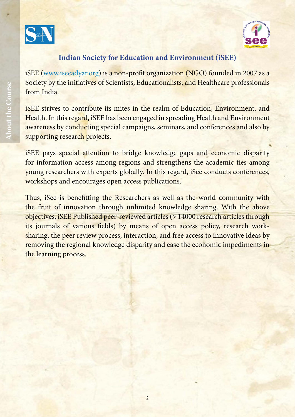



#### **Indian Society for Education and Environment (iSEE)**

iSEE (www.iseeadyar.org) is a non-profit organization (NGO) founded in 2007 as a Society by the initiatives of Scientists, Educationalists, and Healthcare professionals from India.

iSEE strives to contribute its mites in the realm of Education, Environment, and Health. In this regard, iSEE has been engaged in spreading Health and Environment awareness by conducting special campaigns, seminars, and conferences and also by supporting research projects.

iSEE pays special attention to bridge knowledge gaps and economic disparity for information access among regions and strengthens the academic ties among young researchers with experts globally. In this regard, iSee conducts conferences, workshops and encourages open access publications.

Thus, iSee is benefitting the Researchers as well as the world community with the fruit of innovation through unlimited knowledge sharing. With the above objectives, iSEE Published peer-reviewed articles (> 14000 research articles through its journals of various fields) by means of open access policy, research worksharing, the peer review process, interaction, and free access to innovative ideas by removing the regional knowledge disparity and ease the economic impediments in the learning process.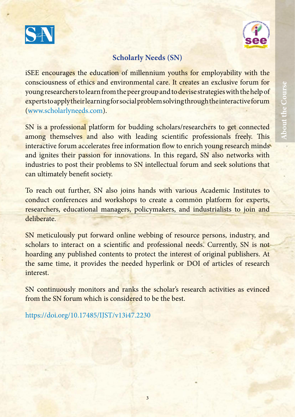



## **Scholarly Needs (SN)**

iSEE encourages the education of millennium youths for employability with the consciousness of ethics and environmental care. It creates an exclusive forum for young researchers to learn from the peer group and to devise strategies with the help of experts to apply their learning for social problem solving through the interactive forum (www.scholarlyneeds.com).

SN is a professional platform for budding scholars/researchers to get connected among themselves and also with leading scientific professionals freely. This interactive forum accelerates free information flow to enrich young research minds and ignites their passion for innovations. In this regard, SN also networks with industries to post their problems to SN intellectual forum and seek solutions that can ultimately benefit society.

To reach out further, SN also joins hands with various Academic Institutes to conduct conferences and workshops to create a common platform for experts, researchers, educational managers, policymakers, and industrialists to join and deliberate.

SN meticulously put forward online webbing of resource persons, industry, and scholars to interact on a scientific and professional needs. Currently, SN is not hoarding any published contents to protect the interest of original publishers. At the same time, it provides the needed hyperlink or DOI of articles of research interest.

SN continuously monitors and ranks the scholar's research activities as evinced from the SN forum which is considered to be the best.

https://doi.org/10.17485/IJST/v13i47.2230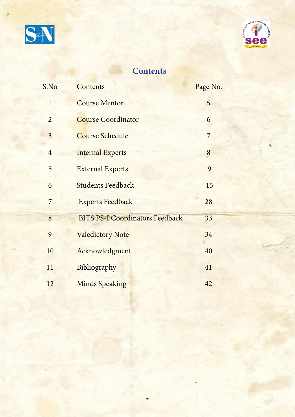



## **Contents**

| S.No           | <b>Contents</b>                        | Page No.       |
|----------------|----------------------------------------|----------------|
| $\mathbf{1}$   | <b>Course Mentor</b>                   | 5              |
| $\overline{2}$ | <b>Course Coordinator</b>              | 6              |
| 3              | <b>Course Schedule</b>                 | $\overline{7}$ |
| $\overline{4}$ | <b>Internal Experts</b>                | 8              |
| 5              | <b>External Experts</b>                | 9              |
| 6              | <b>Students Feedback</b>               | 15             |
| 7              | <b>Experts Feedback</b>                | 28             |
| 8              | <b>BITS PS-I Coordinators Feedback</b> | 33             |
| 9              | <b>Valedictory Note</b>                | 34             |
| 10             | Acknowledgment                         | 40             |
| 11             | Bibliography                           | 41             |
| 12             | <b>Minds Speaking</b>                  | 42             |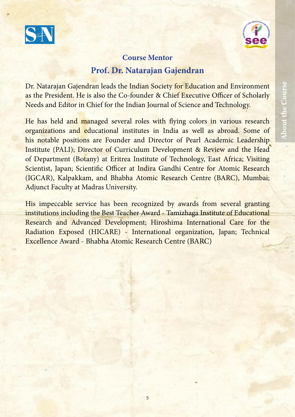



## **Course Mentor Prof. Dr. Natarajan Gajendran**

Dr. Natarajan Gajendran leads the Indian Society for Education and Environment as the President. He is also the Co-founder & Chief Executive Officer of Scholarly Needs and Editor in Chief for the Indian Journal of Science and Technology.

He has held and managed several roles with flying colors in various research organizations and educational institutes in India as well as abroad. Some of his notable positions are Founder and Director of Pearl Academic Leadership Institute (PALI); Director of Curriculum Development & Review and the Head of Department (Botany) at Eritrea Institute of Technology, East Africa; Visiting Scientist, Japan; Scientific Officer at Indira Gandhi Centre for Atomic Research (IGCAR), Kalpakkam, and Bhabha Atomic Research Centre (BARC), Mumbai; Adjunct Faculty at Madras University.

His impeccable service has been recognized by awards from several granting institutions including the Best Teacher Award - Tamizhaga Institute of Educational Research and Advanced Development; Hiroshima International Care for the Radiation Exposed (HICARE) - International organization, Japan; Technical Excellence Award - Bhabha Atomic Research Centre (BARC)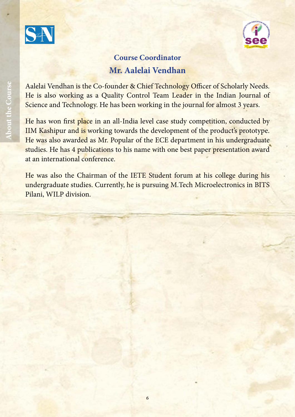



## **Course Coordinator Mr. Aalelai Vendhan**

Aalelai Vendhan is the Co-founder & Chief Technology Officer of Scholarly Needs. He is also working as a Quality Control Team Leader in the Indian Journal of Science and Technology. He has been working in the journal for almost 3 years.

He has won first place in an all-India level case study competition, conducted by IIM Kashipur and is working towards the development of the product's prototype. He was also awarded as Mr. Popular of the ECE department in his undergraduate studies. He has 4 publications to his name with one best paper presentation award at an international conference.

He was also the Chairman of the IETE Student forum at his college during his undergraduate studies. Currently, he is pursuing M.Tech Microelectronics in BITS Pilani, WILP division.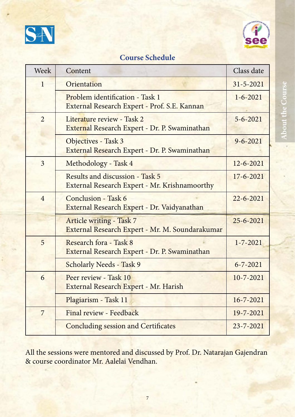



## **Course Schedule**

| <b>Week</b>    | Content                                                                                 | Class date      |
|----------------|-----------------------------------------------------------------------------------------|-----------------|
| 1              | Orientation                                                                             | $31 - 5 - 2021$ |
|                | Problem identification - Task 1<br>External Research Expert - Prof. S.E. Kannan         | $1 - 6 - 2021$  |
| $\overline{2}$ | Literature review - Task 2<br>External Research Expert - Dr. P. Swaminathan             | $5 - 6 - 2021$  |
|                | Objectives - Task 3<br>External Research Expert - Dr. P. Swaminathan                    | $9 - 6 - 2021$  |
| $\overline{3}$ | Methodology - Task 4                                                                    | $12 - 6 - 2021$ |
|                | Results and discussion - Task 5<br><b>External Research Expert - Mr. Krishnamoorthy</b> | $17 - 6 - 2021$ |
| $\overline{4}$ | Conclusion - Task 6<br>External Research Expert - Dr. Vaidyanathan                      | $22 - 6 - 2021$ |
|                | <b>Article writing - Task 7</b><br>External Research Expert - Mr. M. Soundarakumar      | $25 - 6 - 2021$ |
| 5              | Research fora - Task 8<br>External Research Expert - Dr. P. Swaminathan                 | $1 - 7 - 2021$  |
|                | <b>Scholarly Needs - Task 9</b>                                                         | $6 - 7 - 2021$  |
| 6              | Peer review - Task 10<br>External Research Expert - Mr. Harish                          | $10 - 7 - 2021$ |
|                | Plagiarism - Task 11                                                                    | $16 - 7 - 2021$ |
| 7              | Final review - Feedback                                                                 | 19-7-2021       |
|                | <b>Concluding session and Certificates</b>                                              | $23 - 7 - 2021$ |

All the sessions were mentored and discussed by Prof. Dr. Natarajan Gajendran & course coordinator Mr. Aalelai Vendhan.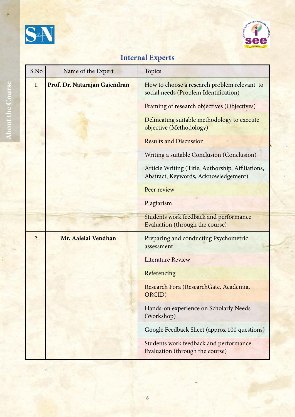



# **Internal Experts**

| S.No | Name of the Expert            | <b>Topics</b>                                                                             |
|------|-------------------------------|-------------------------------------------------------------------------------------------|
| 1.   | Prof. Dr. Natarajan Gajendran | How to choose a research problem relevant to<br>social needs (Problem Identification)     |
|      |                               | Framing of research objectives (Objectives)                                               |
|      |                               | Delineating suitable methodology to execute<br>objective (Methodology)                    |
|      |                               | <b>Results and Discussion</b>                                                             |
|      |                               | Writing a suitable Conclusion (Conclusion)                                                |
|      |                               | Article Writing (Title, Authorship, Affiliations,<br>Abstract, Keywords, Acknowledgement) |
|      |                               | Peer review                                                                               |
|      |                               | Plagiarism                                                                                |
|      |                               | Students work feedback and performance<br>Evaluation (through the course)                 |
| 2.   | Mr. Aalelai Vendhan           | Preparing and conducting Psychometric<br>assessment                                       |
|      |                               | <b>Literature Review</b>                                                                  |
|      |                               | Referencing                                                                               |
|      |                               | Research Fora (ResearchGate, Academia,<br>ORCID)                                          |
|      |                               | Hands-on experience on Scholarly Needs<br>(Workshop)                                      |
|      |                               | Google Feedback Sheet (approx 100 questions)                                              |
|      |                               | Students work feedback and performance<br>Evaluation (through the course)                 |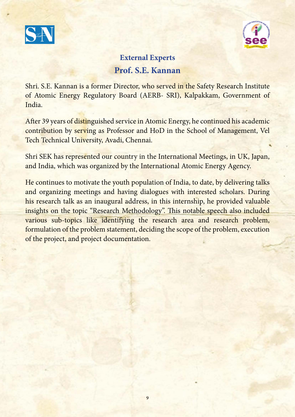



## **External Experts Prof. S.E. Kannan**

Shri. S.E. Kannan is a former Director, who served in the Safety Research Institute of Atomic Energy Regulatory Board (AERB- SRI), Kalpakkam, Government of India.

After 39 years of distinguished service in Atomic Energy, he continued his academic contribution by serving as Professor and HoD in the School of Management, Vel Tech Technical University, Avadi, Chennai.

Shri SEK has represented our country in the International Meetings, in UK, Japan, and India, which was organized by the International Atomic Energy Agency.

He continues to motivate the youth population of India, to date, by delivering talks and organizing meetings and having dialogues with interested scholars. During his research talk as an inaugural address, in this internship, he provided valuable insights on the topic "Research Methodology". This notable speech also included various sub-topics like identifying the research area and research problem, formulation of the problem statement, deciding the scope of the problem, execution of the project, and project documentation.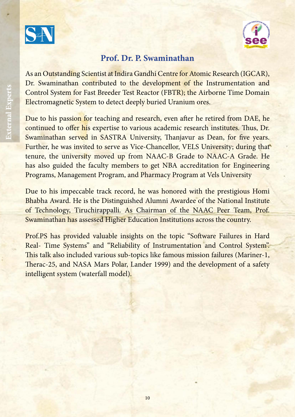



#### **Prof. Dr. P. Swaminathan**

As an Outstanding Scientist at Indira Gandhi Centre for Atomic Research (IGCAR), Dr. Swaminathan contributed to the development of the Instrumentation and Control System for Fast Breeder Test Reactor (FBTR); the Airborne Time Domain Electromagnetic System to detect deeply buried Uranium ores.

Due to his passion for teaching and research, even after he retired from DAE, he continued to offer his expertise to various academic research institutes. Thus, Dr. Swaminathan served in SASTRA University, Thanjavur as Dean, for five years. Further, he was invited to serve as Vice-Chancellor, VELS University; during that tenure, the university moved up from NAAC-B Grade to NAAC-A Grade. He has also guided the faculty members to get NBA accreditation for Engineering Programs, Management Program, and Pharmacy Program at Vels University

Due to his impeccable track record, he was honored with the prestigious Homi Bhabha Award. He is the Distinguished Alumni Awardee of the National Institute of Technology, Tiruchirappalli. As Chairman of the NAAC Peer Team, Prof. Swaminathan has assessed Higher Education Institutions across the country.

Prof.PS has provided valuable insights on the topic "Software Failures in Hard Real- Time Systems" and "Reliability of Instrumentation and Control System". This talk also included various sub-topics like famous mission failures (Mariner-1, Therac-25, and NASA Mars Polar, Lander 1999) and the development of a safety intelligent system (waterfall model).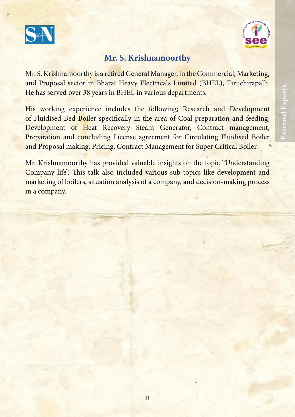



## **Mr. S. Krishnamoorthy**

Mr. S. Krishnamoorthy is a retired General Manager, in the Commercial, Marketing, and Proposal sector in Bharat Heavy Electricals Limited (BHEL), Tiruchirapalli. He has served over 38 years in BHEL in various departments.

His working experience includes the following; Research and Development of Fluidised Bed Boiler specifically in the area of Coal preparation and feeding, Development of Heat Recovery Steam Generator, Contract management, Preparation and concluding License agreement for Circulating Fluidised Boiler and Proposal making, Pricing, Contract Management for Super Critical Boiler.

Mr. Krishnamoorthy has provided valuable insights on the topic "Understanding Company life". This talk also included various sub-topics like development and marketing of boilers, situation analysis of a company, and decision-making process in a company.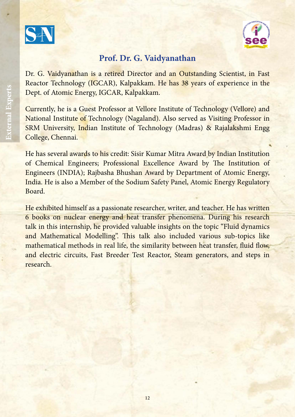



#### **Prof. Dr. G. Vaidyanathan**

Dr. G. Vaidyanathan is a retired Director and an Outstanding Scientist, in Fast Reactor Technology (IGCAR), Kalpakkam. He has 38 years of experience in the Dept. of Atomic Energy, IGCAR, Kalpakkam.

Currently, he is a Guest Professor at Vellore Institute of Technology (Vellore) and National Institute of Technology (Nagaland). Also served as Visiting Professor in SRM University, Indian Institute of Technology (Madras) & Rajalakshmi Engg College, Chennai.

He has several awards to his credit: Sisir Kumar Mitra Award by Indian Institution of Chemical Engineers; Professional Excellence Award by The Institution of Engineers (INDIA); Rajbasha Bhushan Award by Department of Atomic Energy, India. He is also a Member of the Sodium Safety Panel, Atomic Energy Regulatory Board.

He exhibited himself as a passionate researcher, writer, and teacher. He has written 6 books on nuclear energy and heat transfer phenomena. During his research talk in this internship, he provided valuable insights on the topic "Fluid dynamics and Mathematical Modelling". This talk also included various sub-topics like mathematical methods in real life, the similarity between heat transfer, fluid flow, and electric circuits, Fast Breeder Test Reactor, Steam generators, and steps in research.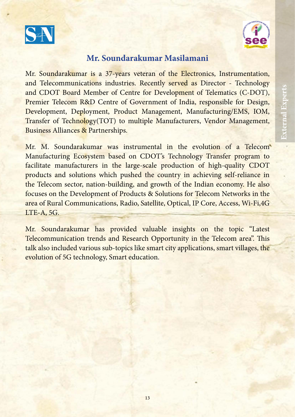



#### **Mr. Soundarakumar Masilamani**

Mr. Soundarakumar is a 37-years veteran of the Electronics, Instrumentation, and Telecommunications industries. Recently served as Director - Technology and CDOT Board Member of Centre for Development of Telematics (C-DOT), Premier Telecom R&D Centre of Government of India, responsible for Design, Development, Deployment, Product Management, Manufacturing/EMS, IOM, Transfer of Technology(TOT) to multiple Manufacturers, Vendor Management, Business Alliances & Partnerships.

Mr. M. Soundarakumar was instrumental in the evolution of a Telecom Manufacturing Ecosystem based on CDOT's Technology Transfer program to facilitate manufacturers in the large-scale production of high-quality CDOT products and solutions which pushed the country in achieving self-reliance in the Telecom sector, nation-building, and growth of the Indian economy. He also focuses on the Development of Products & Solutions for Telecom Networks in the area of Rural Communications, Radio, Satellite, Optical, IP Core, Access, Wi-Fi,4G LTE-A, 5G.

Mr. Soundarakumar has provided valuable insights on the topic "Latest Telecommunication trends and Research Opportunity in the Telecom area". This talk also included various sub-topics like smart city applications, smart villages, the evolution of 5G technology, Smart education.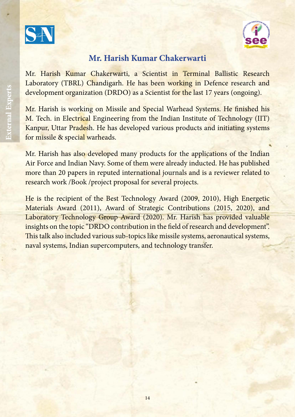



#### **Mr. Harish Kumar Chakerwarti**

Mr. Harish Kumar Chakerwarti, a Scientist in Terminal Ballistic Research Laboratory (TBRL) Chandigarh. He has been working in Defence research and development organization (DRDO) as a Scientist for the last 17 years (ongoing).

Mr. Harish is working on Missile and Special Warhead Systems. He finished his M. Tech. in Electrical Engineering from the Indian Institute of Technology (IIT) Kanpur, Uttar Pradesh. He has developed various products and initiating systems for missile & special warheads.

Mr. Harish has also developed many products for the applications of the Indian Air Force and Indian Navy. Some of them were already inducted. He has published more than 20 papers in reputed international journals and is a reviewer related to research work /Book /project proposal for several projects.

He is the recipient of the Best Technology Award (2009, 2010), High Energetic Materials Award (2011), Award of Strategic Contributions (2015, 2020), and Laboratory Technology Group Award (2020). Mr. Harish has provided valuable insights on the topic "DRDO contribution in the field of research and development". This talk also included various sub-topics like missile systems, aeronautical systems, naval systems, Indian supercomputers, and technology transfer.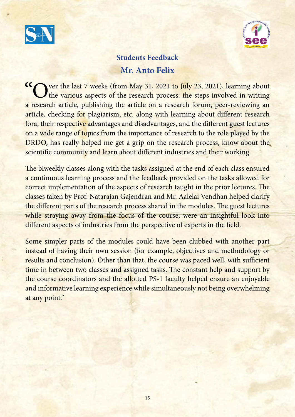



## **Students Feedback Mr. Anto Felix**

K ver the last 7 weeks (from May 31, 2021 to July 23, 2021), learning about the various aspects of the research process: the steps involved in writing a research article, publishing the article on a research forum, peer-reviewing an article, checking for plagiarism, etc. along with learning about different research fora, their respective advantages and disadvantages, and the different guest lectures on a wide range of topics from the importance of research to the role played by the DRDO, has really helped me get a grip on the research process, know about the scientific community and learn about different industries and their working.

The biweekly classes along with the tasks assigned at the end of each class ensured a continuous learning process and the feedback provided on the tasks allowed for correct implementation of the aspects of research taught in the prior lectures. The classes taken by Prof. Natarajan Gajendran and Mr. Aalelai Vendhan helped clarify the different parts of the research process shared in the modules. The guest lectures while straying away from the focus of the course, were an insightful look into different aspects of industries from the perspective of experts in the field.

Some simpler parts of the modules could have been clubbed with another part instead of having their own session (for example, objectives and methodology or results and conclusion). Other than that, the course was paced well, with sufficient time in between two classes and assigned tasks. The constant help and support by the course coordinators and the allotted PS-1 faculty helped ensure an enjoyable and informative learning experience while simultaneously not being overwhelming at any point."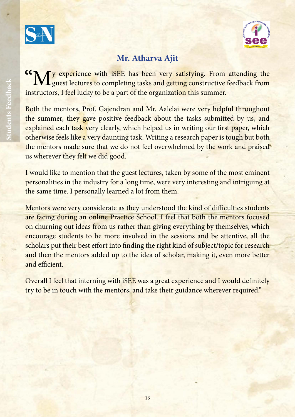



## **Mr. Atharva Ajit**

My experience with iSEE has been very satisfying. From attending the  $\sqrt{L}$  guest lectures to completing tasks and getting constructive feedback from instructors, I feel lucky to be a part of the organization this summer.

Both the mentors, Prof. Gajendran and Mr. Aalelai were very helpful throughout the summer, they gave positive feedback about the tasks submitted by us, and explained each task very clearly, which helped us in writing our first paper, which otherwise feels like a very daunting task. Writing a research paper is tough but both the mentors made sure that we do not feel overwhelmed by the work and praised us wherever they felt we did good.

I would like to mention that the guest lectures, taken by some of the most eminent personalities in the industry for a long time, were very interesting and intriguing at the same time. I personally learned a lot from them.

Mentors were very considerate as they understood the kind of difficulties students are facing during an online Practice School. I feel that both the mentors focused on churning out ideas from us rather than giving everything by themselves, which encourage students to be more involved in the sessions and be attentive, all the scholars put their best effort into finding the right kind of subject/topic for research and then the mentors added up to the idea of scholar, making it, even more better and efficient.

Overall I feel that interning with iSEE was a great experience and I would definitely try to be in touch with the mentors, and take their guidance wherever required."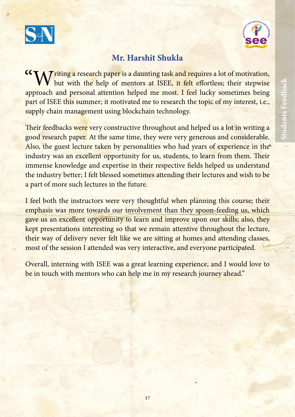



## **Mr. Harshit Shukla**

TA Triting a research paper is a daunting task and requires a lot of motivation, but with the help of mentors at ISEE, it felt effortless; their stepwise approach and personal attention helped me most. I feel lucky sometimes being part of ISEE this summer; it motivated me to research the topic of my interest, i.e., supply chain management using blockchain technology.

Their feedbacks were very constructive throughout and helped us a lot in writing a good research paper. At the same time, they were very generous and considerable. Also, the guest lecture taken by personalities who had years of experience in the industry was an excellent opportunity for us, students, to learn from them. Their immense knowledge and expertise in their respective fields helped us understand the industry better; I felt blessed sometimes attending their lectures and wish to be a part of more such lectures in the future.

I feel both the instructors were very thoughtful when planning this course; their emphasis was more towards our involvement than they spoon-feeding us, which gave us an excellent opportunity to learn and improve upon our skills; also, they kept presentations interesting so that we remain attentive throughout the lecture, their way of delivery never felt like we are sitting at homes and attending classes, most of the session I attended was very interactive, and everyone participated.

Overall, interning with ISEE was a great learning experience, and I would love to be in touch with mentors who can help me in my research journey ahead."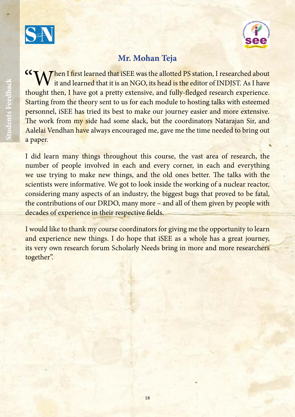



## **Mr. Mohan Teja**

M Then I first learned that iSEE was the allotted PS station, I researched about it and learned that it is an NGO, its head is the editor of INDJST. As I have thought then, I have got a pretty extensive, and fully-fledged research experience. Starting from the theory sent to us for each module to hosting talks with esteemed personnel, iSEE has tried its best to make our journey easier and more extensive. The work from my side had some slack, but the coordinators Natarajan Sir, and Aalelai Vendhan have always encouraged me, gave me the time needed to bring out a paper.

I did learn many things throughout this course, the vast area of research, the number of people involved in each and every corner, in each and everything we use trying to make new things, and the old ones better. The talks with the scientists were informative. We got to look inside the working of a nuclear reactor, considering many aspects of an industry, the biggest bugs that proved to be fatal, the contributions of our DRDO, many more – and all of them given by people with decades of experience in their respective fields.

I would like to thank my course coordinators for giving me the opportunity to learn and experience new things. I do hope that iSEE as a whole has a great journey, its very own research forum Scholarly Needs bring in more and more researchers together".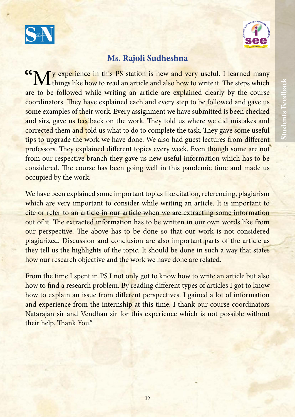



#### **Ms. Rajoli Sudheshna**

<sup>66</sup> My experience in this PS station is new and very useful. I learned many things like how to read an article and also how to write it. The steps which are to be followed while writing an article are explained clearly by the course coordinators. They have explained each and every step to be followed and gave us some examples of their work. Every assignment we have submitted is been checked and sirs, gave us feedback on the work. They told us where we did mistakes and corrected them and told us what to do to complete the task. They gave some useful tips to upgrade the work we have done. We also had guest lectures from different professors. They explained different topics every week. Even though some are not from our respective branch they gave us new useful information which has to be considered. The course has been going well in this pandemic time and made us occupied by the work.

We have been explained some important topics like citation, referencing, plagiarism which are very important to consider while writing an article. It is important to cite or refer to an article in our article when we are extracting some information out of it. The extracted information has to be written in our own words like from our perspective. The above has to be done so that our work is not considered plagiarized. Discussion and conclusion are also important parts of the article as they tell us the highlights of the topic. It should be done in such a way that states how our research objective and the work we have done are related.

From the time I spent in PS I not only got to know how to write an article but also how to find a research problem. By reading different types of articles I got to know how to explain an issue from different perspectives. I gained a lot of information and experience from the internship at this time. I thank our course coordinators Natarajan sir and Vendhan sir for this experience which is not possible without their help. Thank You."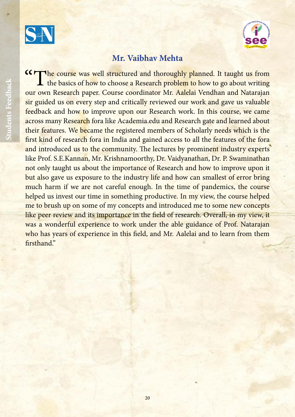



#### **Mr. Vaibhav Mehta**

**COMORE COULD SET UP:** The course was well structured and thoroughly planned. It taught us from the basics of how to choose a Research problem to how to go about writing our own Research paper. Course coordinator Mr. Aalelai Vendhan and Natarajan sir guided us on every step and critically reviewed our work and gave us valuable feedback and how to improve upon our Research work. In this course, we came across many Research fora like Academia.edu and Research gate and learned about their features. We became the registered members of Scholarly needs which is the first kind of research fora in India and gained access to all the features of the fora and introduced us to the community. The lectures by prominent industry experts like Prof. S.E.Kannan, Mr. Krishnamoorthy, Dr. Vaidyanathan, Dr. P. Swaminathan not only taught us about the importance of Research and how to improve upon it but also gave us exposure to the industry life and how can smallest of error bring much harm if we are not careful enough. In the time of pandemics, the course helped us invest our time in something productive. In my view, the course helped me to brush up on some of my concepts and introduced me to some new concepts like peer review and its importance in the field of research. Overall, in my view, it was a wonderful experience to work under the able guidance of Prof. Natarajan who has years of experience in this field, and Mr. Aalelai and to learn from them firsthand"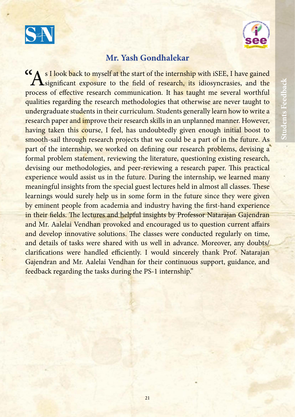



#### **Mr. Yash Gondhalekar**

s I look back to myself at the start of the internship with iSEE, I have gained **A**significant exposure to the field of research, its idiosyncrasies, and the process of effective research communication. It has taught me several worthful qualities regarding the research methodologies that otherwise are never taught to undergraduate students in their curriculum. Students generally learn how to write a research paper and improve their research skills in an unplanned manner. However, having taken this course, I feel, has undoubtedly given enough initial boost to smooth-sail through research projects that we could be a part of in the future. As part of the internship, we worked on defining our research problems, devising a formal problem statement, reviewing the literature, questioning existing research, devising our methodologies, and peer-reviewing a research paper. This practical experience would assist us in the future. During the internship, we learned many meaningful insights from the special guest lectures held in almost all classes. These learnings would surely help us in some form in the future since they were given by eminent people from academia and industry having the first-hand experience in their fields. The lectures and helpful insights by Professor Natarajan Gajendran and Mr. Aalelai Vendhan provoked and encouraged us to question current affairs and develop innovative solutions. The classes were conducted regularly on time, and details of tasks were shared with us well in advance. Moreover, any doubts/ clarifications were handled efficiently. I would sincerely thank Prof. Natarajan Gajendran and Mr. Aalelai Vendhan for their continuous support, guidance, and feedback regarding the tasks during the PS-1 internship."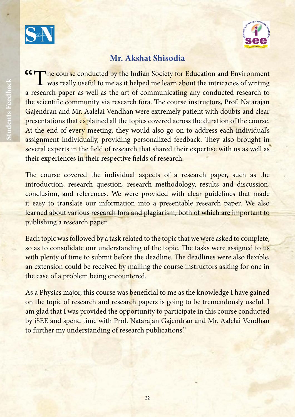



## **Mr. Akshat Shisodia**

CCF The course conducted by the Indian Society for Education and Environment **L** was really useful to me as it helped me learn about the intricacies of writing a research paper as well as the art of communicating any conducted research to the scientific community via research fora. The course instructors, Prof. Natarajan Gajendran and Mr. Aalelai Vendhan were extremely patient with doubts and clear presentations that explained all the topics covered across the duration of the course. At the end of every meeting, they would also go on to address each individual's assignment individually, providing personalized feedback. They also brought in several experts in the field of research that shared their expertise with us as well as their experiences in their respective fields of research.

The course covered the individual aspects of a research paper, such as the introduction, research question, research methodology, results and discussion, conclusion, and references. We were provided with clear guidelines that made it easy to translate our information into a presentable research paper. We also learned about various research fora and plagiarism, both of which are important to publishing a research paper.

Each topic was followed by a task related to the topic that we were asked to complete, so as to consolidate our understanding of the topic. The tasks were assigned to us with plenty of time to submit before the deadline. The deadlines were also flexible, an extension could be received by mailing the course instructors asking for one in the case of a problem being encountered.

As a Physics major, this course was beneficial to me as the knowledge I have gained on the topic of research and research papers is going to be tremendously useful. I am glad that I was provided the opportunity to participate in this course conducted by iSEE and spend time with Prof. Natarajan Gajendran and Mr. Aalelai Vendhan to further my understanding of research publications."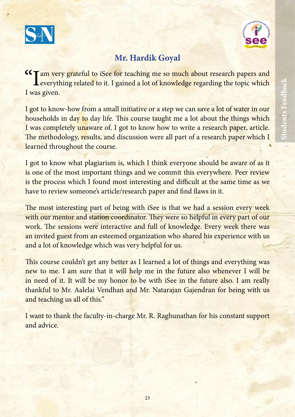



## **Mr. Hardik Goyal**

Tam very grateful to iSee for teaching me so much about research papers and Leverything related to it. I gained a lot of knowledge regarding the topic which I was given.

I got to know-how from a small initiative or a step we can save a lot of water in our households in day to day life. This course taught me a lot about the things which I was completely unaware of. I got to know how to write a research paper, article. The methodology, results, and discussion were all part of a research paper which I learned throughout the course.

I got to know what plagiarism is, which I think everyone should be aware of as it is one of the most important things and we commit this everywhere. Peer review is the process which I found most interesting and difficult at the same time as we have to review someone's article/research paper and find flaws in it.

The most interesting part of being with iSee is that we had a session every week with our mentor and station coordinator. They were so helpful in every part of our work. The sessions were interactive and full of knowledge. Every week there was an invited guest from an esteemed organization who shared his experience with us and a lot of knowledge which was very helpful for us.

This course couldn't get any better as I learned a lot of things and everything was new to me. I am sure that it will help me in the future also whenever I will be in need of it. It will be my honor to be with iSee in the future also. I am really thankful to Mr. Aalelai Vendhan and Mr. Natarajan Gajendran for being with us and teaching us all of this."

I want to thank the faculty-in-charge Mr. R. Raghunathan for his constant support and advice.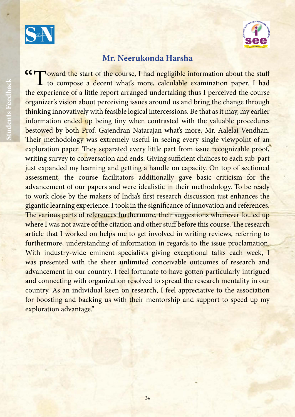



#### **Mr. Neerukonda Harsha**

KIT loward the start of the course, I had negligible information about the stuff **L** to compose a decent what's more, calculable examination paper. I had the experience of a little report arranged undertaking thus I perceived the course organizer's vision about perceiving issues around us and bring the change through thinking innovatively with feasible logical intercessions. Be that as it may, my earlier information ended up being tiny when contrasted with the valuable procedures bestowed by both Prof. Gajendran Natarajan what's more, Mr. Aalelai Vendhan. Their methodology was extremely useful in seeing every single viewpoint of an exploration paper. They separated every little part from issue recognizable proof, writing survey to conversation and ends. Giving sufficient chances to each sub-part just expanded my learning and getting a handle on capacity. On top of sectioned assessment, the course facilitators additionally gave basic criticism for the advancement of our papers and were idealistic in their methodology. To be ready to work close by the makers of India's first research discussion just enhances the gigantic learning experience. I took in the significance of innovation and references. The various parts of references furthermore, their suggestions whenever fouled up where I was not aware of the citation and other stuff before this course. The research article that I worked on helps me to get involved in writing reviews, referring to furthermore, understanding of information in regards to the issue proclamation. With industry-wide eminent specialists giving exceptional talks each week, I was presented with the sheer unlimited conceivable outcomes of research and advancement in our country. I feel fortunate to have gotten particularly intrigued and connecting with organization resolved to spread the research mentality in our country. As an individual keen on research, I feel appreciative to the association for boosting and backing us with their mentorship and support to speed up my exploration advantage."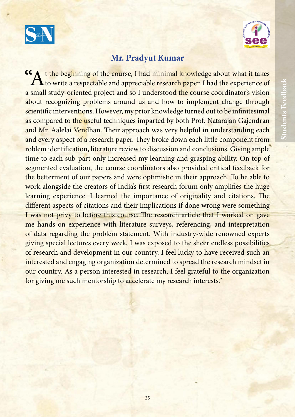



#### **Mr. Pradyut Kumar**

K A t the beginning of the course, I had minimal knowledge about what it takes **L** to write a respectable and appreciable research paper. I had the experience of a small study-oriented project and so I understood the course coordinator's vision about recognizing problems around us and how to implement change through scientific interventions. However, my prior knowledge turned out to be infinitesimal as compared to the useful techniques imparted by both Prof. Natarajan Gajendran and Mr. Aalelai Vendhan. Their approach was very helpful in understanding each and every aspect of a research paper. They broke down each little component from roblem identification, literature review to discussion and conclusions. Giving ample time to each sub-part only increased my learning and grasping ability. On top of segmented evaluation, the course coordinators also provided critical feedback for the betterment of our papers and were optimistic in their approach. To be able to work alongside the creators of India's first research forum only amplifies the huge learning experience. I learned the importance of originality and citations. The different aspects of citations and their implications if done wrong were something I was not privy to before this course. The research article that I worked on gave me hands-on experience with literature surveys, referencing, and interpretation of data regarding the problem statement. With industry-wide renowned experts giving special lectures every week, I was exposed to the sheer endless possibilities of research and development in our country. I feel lucky to have received such an interested and engaging organization determined to spread the research mindset in our country. As a person interested in research, I feel grateful to the organization for giving me such mentorship to accelerate my research interests."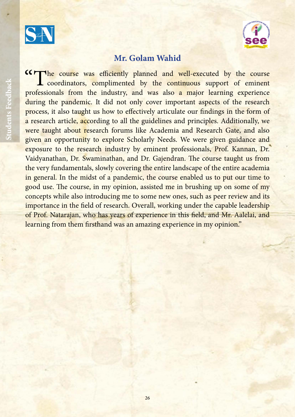



#### **Mr. Golam Wahid**

KIT the course was efficiently planned and well-executed by the course coordinators, complimented by the continuous support of eminent professionals from the industry, and was also a major learning experience during the pandemic. It did not only cover important aspects of the research process, it also taught us how to effectively articulate our findings in the form of a research article, according to all the guidelines and principles. Additionally, we were taught about research forums like Academia and Research Gate, and also given an opportunity to explore Scholarly Needs. We were given guidance and exposure to the research industry by eminent professionals, Prof. Kannan, Dr. Vaidyanathan, Dr. Swaminathan, and Dr. Gajendran. The course taught us from the very fundamentals, slowly covering the entire landscape of the entire academia in general. In the midst of a pandemic, the course enabled us to put our time to good use. The course, in my opinion, assisted me in brushing up on some of my concepts while also introducing me to some new ones, such as peer review and its importance in the field of research. Overall, working under the capable leadership of Prof. Natarajan, who has years of experience in this field, and Mr. Aalelai, and learning from them firsthand was an amazing experience in my opinion."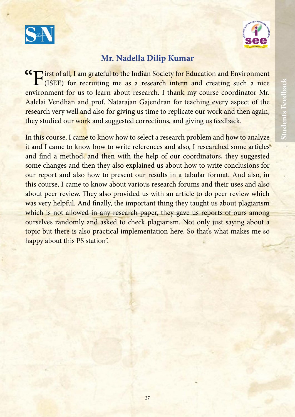



#### **Mr. Nadella Dilip Kumar**

GT irst of all, I am grateful to the Indian Society for Education and Environment (ISEE) for recruiting me as a research intern and creating such a nice environment for us to learn about research. I thank my course coordinator Mr. Aalelai Vendhan and prof. Natarajan Gajendran for teaching every aspect of the research very well and also for giving us time to replicate our work and then again, they studied our work and suggested corrections, and giving us feedback.

In this course, I came to know how to select a research problem and how to analyze it and I came to know how to write references and also, I researched some articles and find a method, and then with the help of our coordinators, they suggested some changes and then they also explained us about how to write conclusions for our report and also how to present our results in a tabular format. And also, in this course, I came to know about various research forums and their uses and also about peer review. They also provided us with an article to do peer review which was very helpful. And finally, the important thing they taught us about plagiarism which is not allowed in any research paper, they gave us reports of ours among ourselves randomly and asked to check plagiarism. Not only just saying about a topic but there is also practical implementation here. So that's what makes me so happy about this PS station".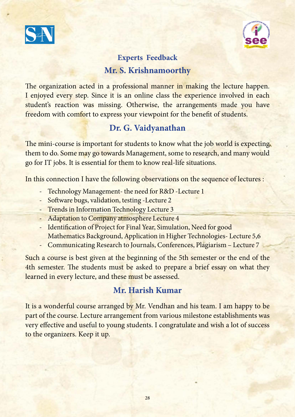



## **Experts Feedback Mr. S. Krishnamoorthy**

The organization acted in a professional manner in making the lecture happen. I enjoyed every step. Since it is an online class the experience involved in each student's reaction was missing. Otherwise, the arrangements made you have freedom with comfort to express your viewpoint for the benefit of students.

## **Dr. G. Vaidyanathan**

The mini-course is important for students to know what the job world is expecting them to do. Some may go towards Management, some to research, and many would go for IT jobs. It is essential for them to know real-life situations.

In this connection I have the following observations on the sequence of lectures :

- Technology Management- the need for R&D -Lecture 1
- Software bugs, validation, testing -Lecture 2
- Trends in Information Technology Lecture 3
- Adaptation to Company atmosphere Lecture 4
- Identification of Project for Final Year, Simulation, Need for good Mathematics Background, Application in Higher Technologies- Lecture 5,6
- Communicating Research to Journals, Conferences, Plagiarism Lecture 7

Such a course is best given at the beginning of the 5th semester or the end of the 4th semester. The students must be asked to prepare a brief essay on what they learned in every lecture, and these must be assessed.

## **Mr. Harish Kumar**

It is a wonderful course arranged by Mr. Vendhan and his team. I am happy to be part of the course. Lecture arrangement from various milestone establishments was very effective and useful to young students. I congratulate and wish a lot of success to the organizers. Keep it up.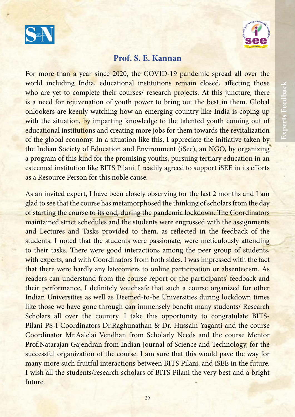



#### **Prof. S. E. Kannan**

For more than a year since 2020, the COVID-19 pandemic spread all over the world including India, educational institutions remain closed, affecting those who are yet to complete their courses/ research projects. At this juncture, there is a need for rejuvenation of youth power to bring out the best in them. Global onlookers are keenly watching how an emerging country like India is coping up with the situation, by imparting knowledge to the talented youth coming out of educational institutions and creating more jobs for them towards the revitalization of the global economy. In a situation like this, I appreciate the initiative taken by the Indian Society of Education and Environment (iSee), an NGO, by organizing a program of this kind for the promising youths, pursuing tertiary education in an esteemed institution like BITS Pilani. I readily agreed to support iSEE in its efforts as a Resource Person for this noble cause.

As an invited expert, I have been closely observing for the last 2 months and I am glad to see that the course has metamorphosed the thinking of scholars from the day of starting the course to its end, during the pandemic lockdown. The Coordinators maintained strict schedules and the students were engrossed with the assignments and Lectures and Tasks provided to them, as reflected in the feedback of the students. I noted that the students were passionate, were meticulously attending to their tasks. There were good interactions among the peer group of students, with experts, and with Coordinators from both sides. I was impressed with the fact that there were hardly any latecomers to online participation or absenteeism. As readers can understand from the course report or the participants' feedback and their performance, I definitely vouchsafe that such a course organized for other Indian Universities as well as Deemed-to-be Universities during lockdown times like those we have gone through can immensely benefit many students/ Research Scholars all over the country. I take this opportunity to congratulate BITS-Pilani PS-I Coordinators Dr.Raghunathan & Dr. Hussain Yaganti and the course Coordinator Mr.Aalelai Vendhan from Scholarly Needs and the course Mentor Prof.Natarajan Gajendran from Indian Journal of Science and Technology, for the successful organization of the course. I am sure that this would pave the way for many more such fruitful interactions between BITS Pilani, and iSEE in the future. I wish all the students/research scholars of BITS Pilani the very best and a bright future.

**Experts Feedback**

Experts Feedback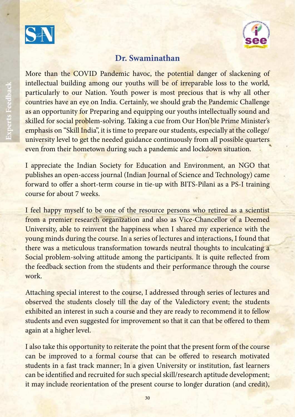



#### **Dr. Swaminathan**

More than the COVID Pandemic havoc, the potential danger of slackening of intellectual building among our youths will be of irreparable loss to the world, particularly to our Nation. Youth power is most precious that is why all other countries have an eye on India. Certainly, we should grab the Pandemic Challenge as an opportunity for Preparing and equipping our youths intellectually sound and skilled for social problem-solving. Taking a cue from Our Hon'ble Prime Minister's emphasis on "Skill India", it is time to prepare our students, especially at the college/ university level to get the needed guidance continuously from all possible quarters even from their hometown during such a pandemic and lockdown situation.

I appreciate the Indian Society for Education and Environment, an NGO that publishes an open-access journal (Indian Journal of Science and Technology) came forward to offer a short-term course in tie-up with BITS-Pilani as a PS-I training course for about 7 weeks.

I feel happy myself to be one of the resource persons who retired as a scientist from a premier research organization and also as Vice-Chancellor of a Deemed University, able to reinvent the happiness when I shared my experience with the young minds during the course. In a series of lectures and interactions, I found that there was a meticulous transformation towards neutral thoughts to inculcating a Social problem-solving attitude among the participants. It is quite reflected from the feedback section from the students and their performance through the course work.

Attaching special interest to the course, I addressed through series of lectures and observed the students closely till the day of the Valedictory event; the students exhibited an interest in such a course and they are ready to recommend it to fellow students and even suggested for improvement so that it can that be offered to them again at a higher level.

I also take this opportunity to reiterate the point that the present form of the course can be improved to a formal course that can be offered to research motivated students in a fast track manner; In a given University or institution, fast learners can be identified and recruited for such special skill/research aptitude development; it may include reorientation of the present course to longer duration (and credit),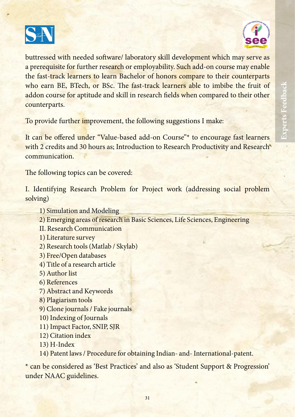



buttressed with needed software/ laboratory skill development which may serve as a prerequisite for further research or employability. Such add-on course may enable the fast-track learners to learn Bachelor of honors compare to their counterparts who earn BE, BTech, or BSc. The fast-track learners able to imbibe the fruit of addon course for aptitude and skill in research fields when compared to their other counterparts.

To provide further improvement, the following suggestions I make:

It can be offered under "Value-based add-on Course"\* to encourage fast learners with 2 credits and 30 hours as; Introduction to Research Productivity and Research communication.

The following topics can be covered:

I. Identifying Research Problem for Project work (addressing social problem solving)

- 1) Simulation and Modeling
- 2) Emerging areas of research in Basic Sciences, Life Sciences, Engineering
- II. Research Communication
- 1) Literature survey
- 2) Research tools (Matlab / Skylab)
- 3) Free/Open databases
- 4) Title of a research article
- 5) Author list
- 6) References
- 7) Abstract and Keywords
- 8) Plagiarism tools
- 9) Clone journals / Fake journals
- 10) Indexing of Journals
- 11) Impact Factor, SNIP, SJR
- 12) Citation index
- 13) H-Index
- 14) Patent laws / Procedure for obtaining Indian- and- International-patent.

\* can be considered as 'Best Practices' and also as 'Student Support & Progression' under NAAC guidelines.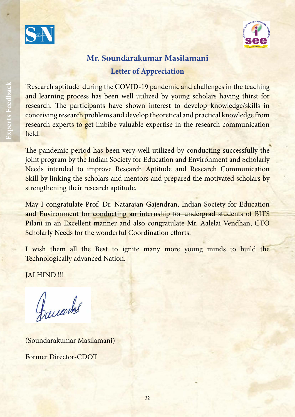



## **Mr. Soundarakumar Masilamani Letter of Appreciation**

'Research aptitude' during the COVID-19 pandemic and challenges in the teaching and learning process has been well utilized by young scholars having thirst for research. The participants have shown interest to develop knowledge/skills in conceiving research problems and develop theoretical and practical knowledge from research experts to get imbibe valuable expertise in the research communication field.

The pandemic period has been very well utilized by conducting successfully the joint program by the Indian Society for Education and Environment and Scholarly Needs intended to improve Research Aptitude and Research Communication Skill by linking the scholars and mentors and prepared the motivated scholars by strengthening their research aptitude.

May I congratulate Prof. Dr. Natarajan Gajendran, Indian Society for Education and Environment for conducting an internship for undergrad students of BITS Pilani in an Excellent manner and also congratulate Mr. Aalelai Vendhan, CTO Scholarly Needs for the wonderful Coordination efforts.

I wish them all the Best to ignite many more young minds to build the Technologically advanced Nation.

JAI HIND !!!

With Best Regards,

(Soundarakumar Masilamani) Former Director-CDOT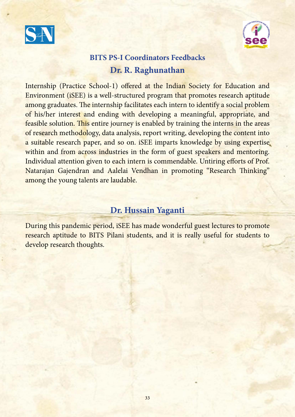



## **BITS PS-I Coordinators Feedbacks Dr. R. Raghunathan**

Internship (Practice School-1) offered at the Indian Society for Education and Environment (iSEE) is a well-structured program that promotes research aptitude among graduates. The internship facilitates each intern to identify a social problem of his/her interest and ending with developing a meaningful, appropriate, and feasible solution. This entire journey is enabled by training the interns in the areas of research methodology, data analysis, report writing, developing the content into a suitable research paper, and so on. iSEE imparts knowledge by using expertise within and from across industries in the form of guest speakers and mentoring. Individual attention given to each intern is commendable. Untiring efforts of Prof. Natarajan Gajendran and Aalelai Vendhan in promoting "Research Thinking" among the young talents are laudable.

#### **Dr. Hussain Yaganti**

During this pandemic period, iSEE has made wonderful guest lectures to promote research aptitude to BITS Pilani students, and it is really useful for students to develop research thoughts.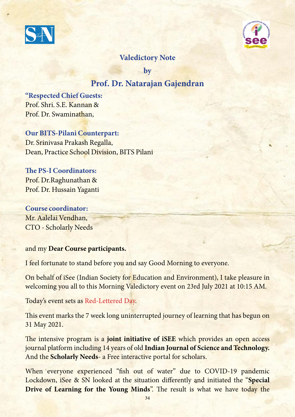



#### **Valedictory Note**

**by** 

#### **Prof. Dr. Natarajan Gajendran**

**"Respected Chief Guests:** Prof. Shri. S.E. Kannan & Prof. Dr. Swaminathan,

**Our BITS-Pilani Counterpart:** Dr. Srinivasa Prakash Regalla, Dean, Practice School Division, BITS Pilani

**!e PS-I Coordinators:** Prof. Dr.Raghunathan & Prof. Dr. Hussain Yaganti

**Course coordinator:** Mr. Aalelai Vendhan, CTO - Scholarly Needs

and my **Dear Course participants.**

I feel fortunate to stand before you and say Good Morning to everyone.

On behalf of iSee (Indian Society for Education and Environment), I take pleasure in welcoming you all to this Morning Valedictory event on 23rd July 2021 at 10:15 AM.

Today's event sets as Red-Lettered Day.

This event marks the 7 week long uninterrupted journey of learning that has begun on 31 May 2021.

The intensive program is a **joint initiative of iSEE** which provides an open access journal platform including 14 years of old **Indian Journal of Science and Technology.** And the **Scholarly Needs**- a Free interactive portal for scholars.

When everyone experienced "fish out of water" due to COVID-19 pandemic Lockdown, iSee & SN looked at the situation differently and initiated the "Special **Drive of Learning for the Young Minds**". The result is what we have today the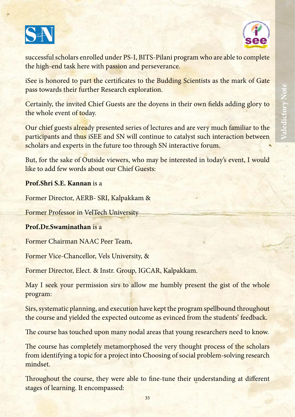



successful scholars enrolled under PS-I, BITS-Pilani program who are able to complete the high-end task here with passion and perseverance.

iSee is honored to part the certificates to the Budding Scientists as the mark of Gate pass towards their further Research exploration.

Certainly, the invited Chief Guests are the doyens in their own fields adding glory to the whole event of today.

Our chief guests already presented series of lectures and are very much familiar to the participants and thus iSEE and SN will continue to catalyst such interaction between scholars and experts in the future too through SN interactive forum.

But, for the sake of Outside viewers, who may be interested in today's event, I would like to add few words about our Chief Guests:

#### **Prof.Shri S.E. Kannan** is a

Former Director, AERB- SRI, Kalpakkam &

Former Professor in VelTech University

#### **Prof.Dr.Swaminathan** is a

Former Chairman NAAC Peer Team,

Former Vice-Chancellor, Vels University, &

Former Director, Elect. & Instr. Group, IGCAR, Kalpakkam.

May I seek your permission sirs to allow me humbly present the gist of the whole program:

Sirs, systematic planning, and execution have kept the program spellbound throughout the course and yielded the expected outcome as evinced from the students' feedback.

The course has touched upon many nodal areas that young researchers need to know.

The course has completely metamorphosed the very thought process of the scholars from identifying a topic for a project into Choosing of social problem-solving research mindset.

Throughout the course, they were able to fine-tune their understanding at different stages of learning. It encompassed:

**Valedictory Note**

Valedictory Note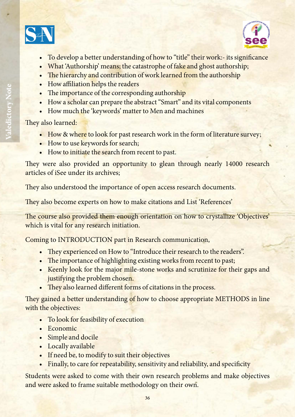



- To develop a better understanding of how to "title" their work:- its significance
- What 'Authorship' means; the catastrophe of fake and ghost authorship;
- The hierarchy and contribution of work learned from the authorship
- $\bullet$  How affiliation helps the readers
- The importance of the corresponding authorship
- How a scholar can prepare the abstract "Smart" and its vital components
- How much the 'keywords' matter to Men and machines

They also learned:

- How & where to look for past research work in the form of literature survey;
- How to use keywords for search;
- How to initiate the search from recent to past.

They were also provided an opportunity to glean through nearly 14000 research articles of iSee under its archives;

They also understood the importance of open access research documents.

They also become experts on how to make citations and List 'References'

The course also provided them enough orientation on how to crystallize 'Objectives' which is vital for any research initiation.

Coming to INTRODUCTION part in Research communication,

- They experienced on How to "Introduce their research to the readers".
- The importance of highlighting existing works from recent to past;
- Keenly look for the major mile-stone works and scrutinize for their gaps and justifying the problem chosen.
- They also learned different forms of citations in the process.

They gained a better understanding of how to choose appropriate METHODS in line with the objectives:

- To look for feasibility of execution
- Economic
- Simple and docile
- Locally available
- If need be, to modify to suit their objectives
- Finally, to care for repeatability, sensitivity and reliability, and specificity

Students were asked to come with their own research problems and make objectives and were asked to frame suitable methodology on their own.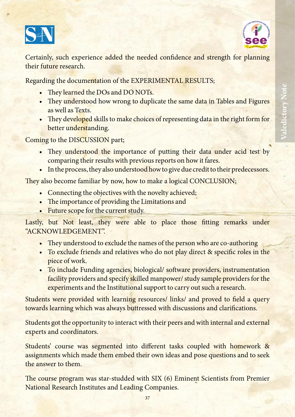



**Valedictory Note**

Valedictory Note

Certainly, such experience added the needed confidence and strength for planning their future research.

Regarding the documentation of the EXPERIMENTAL RESULTS;

- They learned the DOs and DO NOTs.
- They understood how wrong to duplicate the same data in Tables and Figures as well as Texts.
- They developed skills to make choices of representing data in the right form for better understanding.

Coming to the DISCUSSION part;

- They understood the importance of putting their data under acid test by comparing their results with previous reports on how it fares.
- In the process, they also understood how to give due credit to their predecessors.

They also become familiar by now, how to make a logical CONCLUSION;

- Connecting the objectives with the novelty achieved;
- The importance of providing the Limitations and
- Future scope for the current study.

Lastly, but Not least, they were able to place those fitting remarks under "ACKNOWLEDGEMENT".

- They understood to exclude the names of the person who are co-authoring
- To exclude friends and relatives who do not play direct & specific roles in the piece of work.
- To include Funding agencies, biological/ software providers, instrumentation facility providers and specify skilled manpower/ study sample providers for the experiments and the Institutional support to carry out such a research.

Students were provided with learning resources/ links/ and proved to field a query towards learning which was always buttressed with discussions and clarifications.

Students got the opportunity to interact with their peers and with internal and external experts and coordinators.

Students' course was segmented into different tasks coupled with homework & assignments which made them embed their own ideas and pose questions and to seek the answer to them.

The course program was star-studded with SIX (6) Eminent Scientists from Premier National Research Institutes and Leading Companies.

37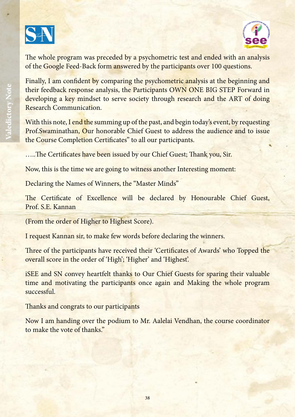



The whole program was preceded by a psychometric test and ended with an analysis of the Google Feed-Back form answered by the participants over 100 questions.

Finally, I am confident by comparing the psychometric analysis at the beginning and their feedback response analysis, the Participants OWN ONE BIG STEP Forward in developing a key mindset to serve society through research and the ART of doing Research Communication.

With this note, I end the summing up of the past, and begin today's event, by requesting Prof.Swaminathan, Our honorable Chief Guest to address the audience and to issue the Course Completion Certificates" to all our participants.

.....The Certificates have been issued by our Chief Guest; Thank you, Sir.

Now, this is the time we are going to witness another Interesting moment:

Declaring the Names of Winners, the "Master Minds"

The Certificate of Excellence will be declared by Honourable Chief Guest, Prof. S.E. Kannan

(From the order of Higher to Highest Score).

I request Kannan sir, to make few words before declaring the winners.

Three of the participants have received their 'Certificates of Awards' who Topped the overall score in the order of 'High'; 'Higher' and 'Highest'.

iSEE and SN convey heartfelt thanks to Our Chief Guests for sparing their valuable time and motivating the participants once again and Making the whole program successful.

Thanks and congrats to our participants

Now I am handing over the podium to Mr. Aalelai Vendhan, the course coordinator to make the vote of thanks"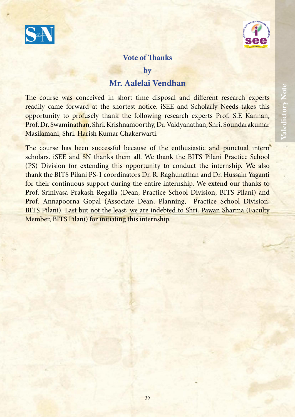



#### **Vote of !anks**

**by**

#### **Mr. Aalelai Vendhan**

The course was conceived in short time disposal and different research experts readily came forward at the shortest notice. iSEE and Scholarly Needs takes this opportunity to profusely thank the following research experts Prof. S.E Kannan, Prof. Dr. Swaminathan, Shri. Krishnamoorthy, Dr. Vaidyanathan, Shri. Soundarakumar Masilamani, Shri. Harish Kumar Chakerwarti.

The course has been successful because of the enthusiastic and punctual intern scholars. iSEE and SN thanks them all. We thank the BITS Pilani Practice School (PS) Division for extending this opportunity to conduct the internship. We also thank the BITS Pilani PS-1 coordinators Dr. R. Raghunathan and Dr. Hussain Yaganti for their continuous support during the entire internship. We extend our thanks to Prof. Srinivasa Prakash Regalla (Dean, Practice School Division, BITS Pilani) and Prof. Annapoorna Gopal (Associate Dean, Planning, Practice School Division, BITS Pilani). Last but not the least, we are indebted to Shri. Pawan Sharma (Faculty Member, BITS Pilani) for initiating this internship.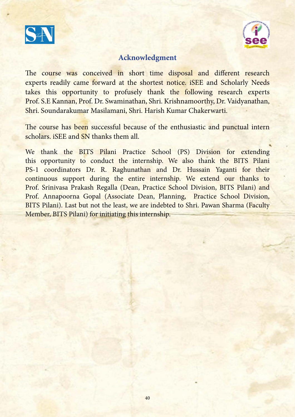



#### **Acknowledgment**

The course was conceived in short time disposal and different research experts readily came forward at the shortest notice. iSEE and Scholarly Needs takes this opportunity to profusely thank the following research experts Prof. S.E Kannan, Prof. Dr. Swaminathan, Shri. Krishnamoorthy, Dr. Vaidyanathan, Shri. Soundarakumar Masilamani, Shri. Harish Kumar Chakerwarti.

The course has been successful because of the enthusiastic and punctual intern scholars. iSEE and SN thanks them all.

We thank the BITS Pilani Practice School (PS) Division for extending this opportunity to conduct the internship. We also thank the BITS Pilani PS-1 coordinators Dr. R. Raghunathan and Dr. Hussain Yaganti for their continuous support during the entire internship. We extend our thanks to Prof. Srinivasa Prakash Regalla (Dean, Practice School Division, BITS Pilani) and Prof. Annapoorna Gopal (Associate Dean, Planning, Practice School Division, BITS Pilani). Last but not the least, we are indebted to Shri. Pawan Sharma (Faculty Member, BITS Pilani) for initiating this internship.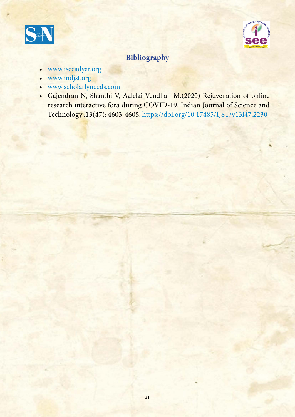



#### **Bibliography**

- www.iseeadyar.org
- www.indjst.org
- www.scholarlyneeds.com
- Gajendran N, Shanthi V, Aalelai Vendhan M.(2020) Rejuvenation of online research interactive fora during COVID-19. Indian Journal of Science and Technology .13(47): 4603-4605. https://doi.org/10.17485/IJST/v13i47.2230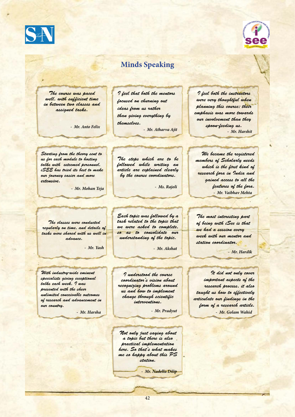

#### **Minds Speaking**

*The course was paced well, with suf*!*cient time in between two classes and assigned tasks.*

*I feel that both the mentors focused on churning out ideas from us rather than giving everything by themselves. - Mr. Anto Felix - Mr. Atharva Ajit*

*I feel both the instructors were very thoughtful when planning this course; their emphasis was more towards our involvement than they spoon-feeding us. - Mr. Harshit*

*Starting from the theory sent to us for each module to hosting talks with esteemed personnel, iSEE has tried its best to make our journey easier and more extensive.*

*- Mr. Mohan Teja*

*The steps which are to be followed while writing an article are explained clearly by the course coordinators.* 

*- Ms. Rajoli*

*The classes were conducted regularly on time, and details of tasks were shared with us well in advance.*

*- Mr. Yash*

*With industry-wide eminent specialists giving exceptional talks each week, I was presented with the sheer unlimited conceivable outcomes of research and advancement in our country.*

*- Mr. Harsha*

*Each topic was followed by a task related to the topic that we were asked to complete, so as to consolidate our understanding of the topic.*

*- Mr. Akshat*

*I understood the course coordinator's vision about recognizing problems around us and how to implement change through scienti*!*c interventions.*

*- Mr. Pradyut*

*Not only just saying about a topic but there is also practical implementation here. So that's what makes me so happy about this PS station.* 

*- Mr. Nadella Dilip*

*We became the registered members of Scholarly needs which is the* !*rst kind of research fora in India and gained access to all the features of the fora. - Mr. Vaibhav Mehta*

*The most interesting part of being with iSee is that we had a session every week with our mentor and station coordinator.*

*- Mr. Hardik*

*It did not only cover important aspects of the research process, it also taught us how to effectively articulate our* !*ndings in the form of a research article. - Mr. Golam Wahid*



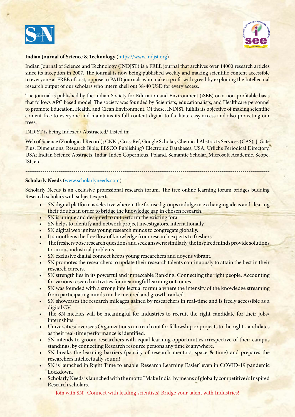



#### **Indian Journal of Science & Technology** (https://www.indjst.org)

Indian Journal of Science and Technology (INDJST) is a FREE journal that archives over 14000 research articles since its inception in 2007. The journal is now being published weekly and making scientific content accessible to everyone at FREE of cost, oppose to PAID journals who make a profit with greed by exploiting the Intellectual research output of our scholars who intern shell out 38-40 USD for every access.

The journal is published by the Indian Society for Education and Environment (iSEE) on a non-profitable basis that follows APC based model. The society was founded by Scientists, educationalists, and Healthcare personnel to promote Education, Health, and Clean Environment. Of these, INDJST fulfills its objective of making scientific content free to everyone and maintains its full content digital to facilitate easy access and also protecting our trees.

INDJST is being Indexed/ Abstracted/ Listed in:

Web of Science (Zoological Record); CNKi, CrossRef, Google Scholar, Chemical Abstracts Services (CAS); J-Gate Plus; Dimensions, Research Bible; EBSCO Publishing's Electronic Databases, USA; Urlich's Periodical Directory, USA; Indian Science Abstracts, India; Index Copernicus, Poland, Semantic Scholar, Microsoft Academic, Scope, ISI, etc.

#### **Scholarly Needs** (www.scholarlyneeds.com)

Scholarly Needs is an exclusive professional research forum. The free online learning forum bridges budding Research scholars with subject experts.

------------------------------------------------------------------------------------------------------------------------------

- SN digital platform is selective wherein the focused groups indulge in exchanging ideas and clearing their doubts in order to bridge the knowledge gap in chosen research.
- SN is unique and designed to outperform the existing fora.
- SN helps to identify and network project investigators, internationally.
- SN digital web ignites young research minds to congregate globally.
- It smoothens the free flow of knowledge from research experts to freshers.
- The freshers pose research questions and seek answers; similarly, the inspired minds provide solutions to arious industrial problems.
- SN exclusive digital connect keeps young researchers and doyens vibrant.
- SN promotes the researchers to update their research talents continuously to attain the best in their research careers.
- SN strength lies in its powerful and impeccable Ranking, Connecting the right people, Accounting for various research activities for meaningful learning outcomes.
- SN was founded with a strong intellectual formula where the intensity of the knowledge streaming from participating minds can be metered and growth ranked.
- SN showcases the research mileages gained by researchers in real-time and is freely accessible as a digital CV.
- The SN metrics will be meaningful for industries to recruit the right candidate for their jobs/ internships.
- Universities/ overseas Organizations can reach out for fellowship or projects to the right candidates as their real-time performance is identified.
- SN intends to groom researchers with equal learning opportunities irrespective of their campus standings, by connecting Research resource persons any time & anywhere.
- SN breaks the learning barriers (paucity of research mentors, space & time) and prepares the researchers intellectually sound!
- SN is launched in Right Time to enable 'Research Learning Easier' even in COVID-19 pandemic Lockdown.
- Scholarly Needs is launched with the motto "Make India" by means of globally competitive & Inspired Research scholars.

Join with SN! Connect with leading scientists! Bridge your talent with Industries!